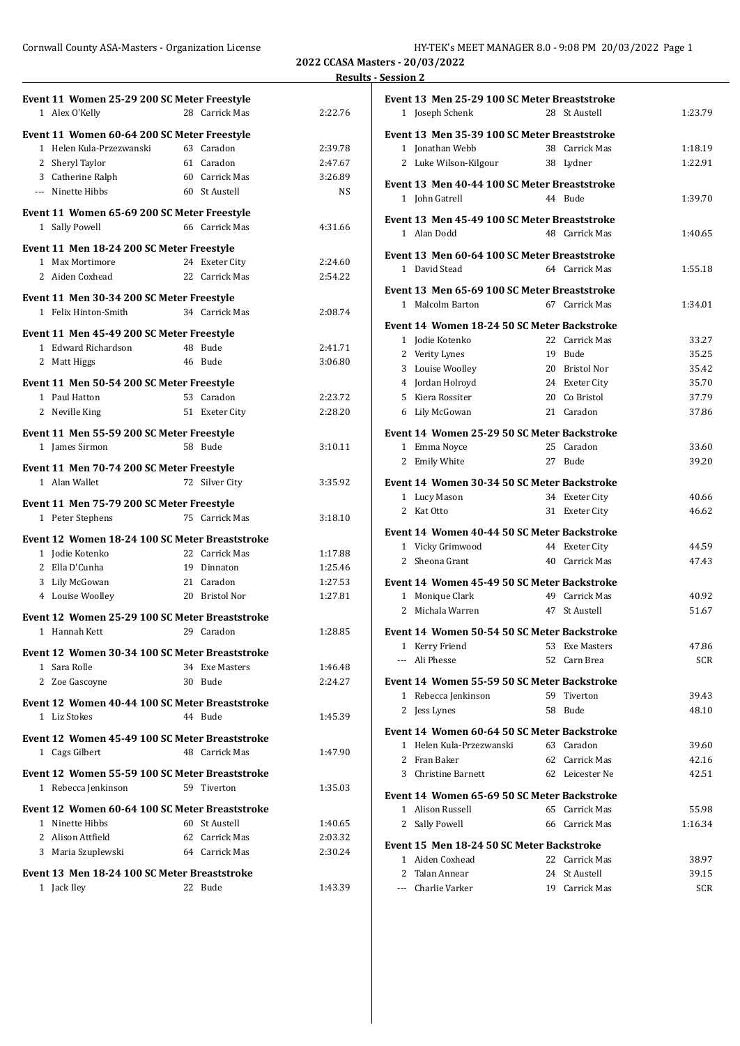Cornwall County ASA-Masters - Organization License **HY-TEK's MEET MANAGER 8.0 - 9:08 PM 20/03/2022** Page 1

**2022 CCASA Masters - 20/03/2022 Results - Session 2**

| Event 11 Women 25-29 200 SC Meter Freestyle                    |                |           |
|----------------------------------------------------------------|----------------|-----------|
| 1 Alex O'Kelly                                                 | 28 Carrick Mas | 2:22.76   |
| Event 11 Women 60-64 200 SC Meter Freestyle                    |                |           |
| 1 Helen Kula-Przezwanski                                       | 63 Caradon     | 2:39.78   |
| 2 Sheryl Taylor                                                | 61 Caradon     | 2:47.67   |
| 3 Catherine Ralph                                              | 60 Carrick Mas | 3:26.89   |
| --- Ninette Hibbs                                              | 60 St Austell  | <b>NS</b> |
|                                                                |                |           |
| Event 11 Women 65-69 200 SC Meter Freestyle                    | 66 Carrick Mas |           |
| 1 Sally Powell                                                 |                | 4:31.66   |
| Event 11 Men 18-24 200 SC Meter Freestyle                      |                |           |
| 1 Max Mortimore                                                | 24 Exeter City | 2:24.60   |
| 2 Aiden Coxhead                                                | 22 Carrick Mas | 2:54.22   |
| Event 11 Men 30-34 200 SC Meter Freestyle                      |                |           |
| 1 Felix Hinton-Smith                                           | 34 Carrick Mas | 2:08.74   |
| Event 11 Men 45-49 200 SC Meter Freestyle                      |                |           |
| 1 Edward Richardson                                            | 48 Bude        | 2:41.71   |
| 2 Matt Higgs                                                   | 46 Bude        | 3:06.80   |
|                                                                |                |           |
| Event 11 Men 50-54 200 SC Meter Freestyle                      |                |           |
| 1 Paul Hatton                                                  | 53 Caradon     | 2:23.72   |
| 2 Neville King                                                 | 51 Exeter City | 2:28.20   |
| Event 11 Men 55-59 200 SC Meter Freestyle                      |                |           |
| 1 James Sirmon                                                 | 58 Bude        | 3:10.11   |
| Event 11 Men 70-74 200 SC Meter Freestyle                      |                |           |
| 1 Alan Wallet                                                  | 72 Silver City | 3:35.92   |
|                                                                |                |           |
| Event 11 Men 75-79 200 SC Meter Freestyle                      |                |           |
| 1 Peter Stephens                                               | 75 Carrick Mas | 3:18.10   |
| Event 12 Women 18-24 100 SC Meter Breaststroke                 |                |           |
| 1 Jodie Kotenko                                                | 22 Carrick Mas | 1:17.88   |
| 2 Ella D'Cunha                                                 | 19 Dinnaton    | 1:25.46   |
| 3 Lily McGowan                                                 | 21 Caradon     | 1:27.53   |
| 4 Louise Woolley                                               | 20 Bristol Nor | 1:27.81   |
| Event 12 Women 25-29 100 SC Meter Breaststroke                 |                |           |
| 1 Hannah Kett                                                  | 29 Caradon     | 1:28.85   |
|                                                                |                |           |
| Event 12 Women 30-34 100 SC Meter Breaststroke<br>1 Sara Rolle | 34 Exe Masters | 1:46.48   |
| 2 Zoe Gascoyne                                                 | 30 Bude        | 2:24.27   |
|                                                                |                |           |
| Event 12 Women 40-44 100 SC Meter Breaststroke                 |                |           |
| 1 Liz Stokes                                                   | 44 Bude        | 1:45.39   |
| Event 12 Women 45-49 100 SC Meter Breaststroke                 |                |           |
| 1 Cags Gilbert                                                 | 48 Carrick Mas | 1:47.90   |
| Event 12 Women 55-59 100 SC Meter Breaststroke                 |                |           |
| 1 Rebecca Jenkinson                                            | 59 Tiverton    | 1:35.03   |
|                                                                |                |           |
| Event 12 Women 60-64 100 SC Meter Breaststroke                 |                |           |
| 1 Ninette Hibbs                                                | 60 St Austell  | 1:40.65   |
| 2 Alison Attfield                                              | 62 Carrick Mas | 2:03.32   |
| 3 Maria Szuplewski                                             | 64 Carrick Mas | 2:30.24   |
| Event 13 Men 18-24 100 SC Meter Breaststroke                   |                |           |
| 1 Jack Iley                                                    | 22 Bude        | 1:43.39   |
|                                                                |                |           |

| 1 Joseph Schenk<br>28 St Austell<br>Event 13 Men 35-39 100 SC Meter Breaststroke<br>1 Jonathan Webb<br>38 Carrick Mas<br>2 Luke Wilson-Kilgour<br>38 Lydner<br>Event 13 Men 40-44 100 SC Meter Breaststroke<br>1 John Gatrell<br>44 Bude<br>Event 13 Men 45-49 100 SC Meter Breaststroke<br>1 Alan Dodd<br>48 Carrick Mas<br>Event 13 Men 60-64 100 SC Meter Breaststroke<br>1 David Stead<br>64 Carrick Mas<br>Event 13 Men 65-69 100 SC Meter Breaststroke<br>1 Malcolm Barton<br>67 Carrick Mas<br>Event 14 Women 18-24 50 SC Meter Backstroke<br>1 Jodie Kotenko<br>22 Carrick Mas<br>19 Bude<br>2 Verity Lynes<br>3 Louise Woolley<br>20 Bristol Nor | 1:23.79<br>1:18.19<br>1:22.91<br>1:39.70<br>1:40.65<br>1:55.18<br>1:34.01<br>33.27 |  |  |  |  |  |
|-----------------------------------------------------------------------------------------------------------------------------------------------------------------------------------------------------------------------------------------------------------------------------------------------------------------------------------------------------------------------------------------------------------------------------------------------------------------------------------------------------------------------------------------------------------------------------------------------------------------------------------------------------------|------------------------------------------------------------------------------------|--|--|--|--|--|
|                                                                                                                                                                                                                                                                                                                                                                                                                                                                                                                                                                                                                                                           |                                                                                    |  |  |  |  |  |
|                                                                                                                                                                                                                                                                                                                                                                                                                                                                                                                                                                                                                                                           |                                                                                    |  |  |  |  |  |
|                                                                                                                                                                                                                                                                                                                                                                                                                                                                                                                                                                                                                                                           |                                                                                    |  |  |  |  |  |
|                                                                                                                                                                                                                                                                                                                                                                                                                                                                                                                                                                                                                                                           |                                                                                    |  |  |  |  |  |
|                                                                                                                                                                                                                                                                                                                                                                                                                                                                                                                                                                                                                                                           |                                                                                    |  |  |  |  |  |
|                                                                                                                                                                                                                                                                                                                                                                                                                                                                                                                                                                                                                                                           |                                                                                    |  |  |  |  |  |
|                                                                                                                                                                                                                                                                                                                                                                                                                                                                                                                                                                                                                                                           |                                                                                    |  |  |  |  |  |
|                                                                                                                                                                                                                                                                                                                                                                                                                                                                                                                                                                                                                                                           |                                                                                    |  |  |  |  |  |
|                                                                                                                                                                                                                                                                                                                                                                                                                                                                                                                                                                                                                                                           |                                                                                    |  |  |  |  |  |
|                                                                                                                                                                                                                                                                                                                                                                                                                                                                                                                                                                                                                                                           |                                                                                    |  |  |  |  |  |
|                                                                                                                                                                                                                                                                                                                                                                                                                                                                                                                                                                                                                                                           |                                                                                    |  |  |  |  |  |
|                                                                                                                                                                                                                                                                                                                                                                                                                                                                                                                                                                                                                                                           |                                                                                    |  |  |  |  |  |
|                                                                                                                                                                                                                                                                                                                                                                                                                                                                                                                                                                                                                                                           |                                                                                    |  |  |  |  |  |
|                                                                                                                                                                                                                                                                                                                                                                                                                                                                                                                                                                                                                                                           |                                                                                    |  |  |  |  |  |
|                                                                                                                                                                                                                                                                                                                                                                                                                                                                                                                                                                                                                                                           |                                                                                    |  |  |  |  |  |
|                                                                                                                                                                                                                                                                                                                                                                                                                                                                                                                                                                                                                                                           |                                                                                    |  |  |  |  |  |
|                                                                                                                                                                                                                                                                                                                                                                                                                                                                                                                                                                                                                                                           |                                                                                    |  |  |  |  |  |
|                                                                                                                                                                                                                                                                                                                                                                                                                                                                                                                                                                                                                                                           |                                                                                    |  |  |  |  |  |
|                                                                                                                                                                                                                                                                                                                                                                                                                                                                                                                                                                                                                                                           | 35.25                                                                              |  |  |  |  |  |
|                                                                                                                                                                                                                                                                                                                                                                                                                                                                                                                                                                                                                                                           | 35.42                                                                              |  |  |  |  |  |
| 4 Jordan Holroyd<br>24 Exeter City                                                                                                                                                                                                                                                                                                                                                                                                                                                                                                                                                                                                                        | 35.70                                                                              |  |  |  |  |  |
| 5 Kiera Rossiter<br>20 Co Bristol                                                                                                                                                                                                                                                                                                                                                                                                                                                                                                                                                                                                                         | 37.79                                                                              |  |  |  |  |  |
| 6 Lily McGowan<br>21 Caradon                                                                                                                                                                                                                                                                                                                                                                                                                                                                                                                                                                                                                              | 37.86                                                                              |  |  |  |  |  |
|                                                                                                                                                                                                                                                                                                                                                                                                                                                                                                                                                                                                                                                           |                                                                                    |  |  |  |  |  |
|                                                                                                                                                                                                                                                                                                                                                                                                                                                                                                                                                                                                                                                           | Event 14 Women 25-29 50 SC Meter Backstroke                                        |  |  |  |  |  |
| 1 Emma Noyce<br>25<br>Caradon                                                                                                                                                                                                                                                                                                                                                                                                                                                                                                                                                                                                                             |                                                                                    |  |  |  |  |  |
| 2 Emily White<br>27<br>Bude                                                                                                                                                                                                                                                                                                                                                                                                                                                                                                                                                                                                                               | 33.60                                                                              |  |  |  |  |  |
| Event 14 Women 30-34 50 SC Meter Backstroke                                                                                                                                                                                                                                                                                                                                                                                                                                                                                                                                                                                                               | 39.20                                                                              |  |  |  |  |  |
| 1 Lucy Mason<br>34 Exeter City                                                                                                                                                                                                                                                                                                                                                                                                                                                                                                                                                                                                                            |                                                                                    |  |  |  |  |  |
|                                                                                                                                                                                                                                                                                                                                                                                                                                                                                                                                                                                                                                                           |                                                                                    |  |  |  |  |  |
|                                                                                                                                                                                                                                                                                                                                                                                                                                                                                                                                                                                                                                                           | 40.66                                                                              |  |  |  |  |  |
| 2 Kat Otto<br>31<br><b>Exeter City</b>                                                                                                                                                                                                                                                                                                                                                                                                                                                                                                                                                                                                                    | 46.62                                                                              |  |  |  |  |  |
| Event 14 Women 40-44 50 SC Meter Backstroke                                                                                                                                                                                                                                                                                                                                                                                                                                                                                                                                                                                                               |                                                                                    |  |  |  |  |  |
| 1 Vicky Grimwood<br>44 Exeter City                                                                                                                                                                                                                                                                                                                                                                                                                                                                                                                                                                                                                        | 44.59                                                                              |  |  |  |  |  |
| 2 Sheona Grant<br>40 Carrick Mas                                                                                                                                                                                                                                                                                                                                                                                                                                                                                                                                                                                                                          | 47.43                                                                              |  |  |  |  |  |
|                                                                                                                                                                                                                                                                                                                                                                                                                                                                                                                                                                                                                                                           |                                                                                    |  |  |  |  |  |
| Event 14 Women 45-49 50 SC Meter Backstroke                                                                                                                                                                                                                                                                                                                                                                                                                                                                                                                                                                                                               |                                                                                    |  |  |  |  |  |
| 1 Monique Clark<br>49 Carrick Mas                                                                                                                                                                                                                                                                                                                                                                                                                                                                                                                                                                                                                         | 40.92                                                                              |  |  |  |  |  |
| 2 Michala Warren<br>47<br>St Austell                                                                                                                                                                                                                                                                                                                                                                                                                                                                                                                                                                                                                      | 51.67                                                                              |  |  |  |  |  |
| Event 14 Women 50-54 50 SC Meter Backstroke                                                                                                                                                                                                                                                                                                                                                                                                                                                                                                                                                                                                               |                                                                                    |  |  |  |  |  |
| 53 Exe Masters                                                                                                                                                                                                                                                                                                                                                                                                                                                                                                                                                                                                                                            | 47.86                                                                              |  |  |  |  |  |
| 1 Kerry Friend                                                                                                                                                                                                                                                                                                                                                                                                                                                                                                                                                                                                                                            |                                                                                    |  |  |  |  |  |
| --- Ali Phesse<br>52 Carn Brea                                                                                                                                                                                                                                                                                                                                                                                                                                                                                                                                                                                                                            | <b>SCR</b>                                                                         |  |  |  |  |  |
| Event 14 Women 55-59 50 SC Meter Backstroke                                                                                                                                                                                                                                                                                                                                                                                                                                                                                                                                                                                                               |                                                                                    |  |  |  |  |  |
| 59 Tiverton<br>1 Rebecca Jenkinson                                                                                                                                                                                                                                                                                                                                                                                                                                                                                                                                                                                                                        | 39.43                                                                              |  |  |  |  |  |
| 2 Jess Lynes<br>58 Bude                                                                                                                                                                                                                                                                                                                                                                                                                                                                                                                                                                                                                                   | 48.10                                                                              |  |  |  |  |  |
|                                                                                                                                                                                                                                                                                                                                                                                                                                                                                                                                                                                                                                                           |                                                                                    |  |  |  |  |  |
| Event 14 Women 60-64 50 SC Meter Backstroke                                                                                                                                                                                                                                                                                                                                                                                                                                                                                                                                                                                                               |                                                                                    |  |  |  |  |  |
| Helen Kula-Przezwanski<br>63 Caradon<br>1.                                                                                                                                                                                                                                                                                                                                                                                                                                                                                                                                                                                                                | 39.60                                                                              |  |  |  |  |  |
| $\overline{2}$<br>Fran Baker<br>62 Carrick Mas                                                                                                                                                                                                                                                                                                                                                                                                                                                                                                                                                                                                            | 42.16                                                                              |  |  |  |  |  |
| 3<br>Christine Barnett<br>62 Leicester Ne                                                                                                                                                                                                                                                                                                                                                                                                                                                                                                                                                                                                                 | 42.51                                                                              |  |  |  |  |  |
| Event 14 Women 65-69 50 SC Meter Backstroke                                                                                                                                                                                                                                                                                                                                                                                                                                                                                                                                                                                                               |                                                                                    |  |  |  |  |  |
|                                                                                                                                                                                                                                                                                                                                                                                                                                                                                                                                                                                                                                                           |                                                                                    |  |  |  |  |  |
| 1 Alison Russell<br>65 Carrick Mas                                                                                                                                                                                                                                                                                                                                                                                                                                                                                                                                                                                                                        | 55.98                                                                              |  |  |  |  |  |
| 2 Sally Powell<br>66 Carrick Mas                                                                                                                                                                                                                                                                                                                                                                                                                                                                                                                                                                                                                          | 1:16.34                                                                            |  |  |  |  |  |
| Event 15 Men 18-24 50 SC Meter Backstroke                                                                                                                                                                                                                                                                                                                                                                                                                                                                                                                                                                                                                 |                                                                                    |  |  |  |  |  |
| Aiden Coxhead<br>22 Carrick Mas<br>1.                                                                                                                                                                                                                                                                                                                                                                                                                                                                                                                                                                                                                     | 38.97                                                                              |  |  |  |  |  |
| $\mathbf{2}$<br>24 St Austell<br>Talan Annear                                                                                                                                                                                                                                                                                                                                                                                                                                                                                                                                                                                                             | 39.15                                                                              |  |  |  |  |  |